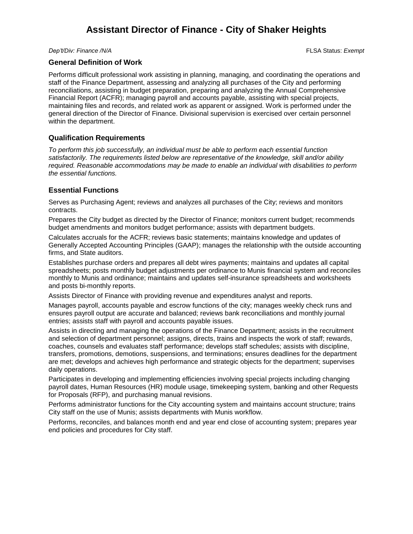## **Assistant Director of Finance - City of Shaker Heights**

*Dep't/Div: Finance /N/A* FLSA Status: *Exempt*

### **General Definition of Work**

Performs difficult professional work assisting in planning, managing, and coordinating the operations and staff of the Finance Department, assessing and analyzing all purchases of the City and performing reconciliations, assisting in budget preparation, preparing and analyzing the Annual Comprehensive Financial Report (ACFR); managing payroll and accounts payable, assisting with special projects, maintaining files and records, and related work as apparent or assigned. Work is performed under the general direction of the Director of Finance. Divisional supervision is exercised over certain personnel within the department.

### **Qualification Requirements**

*To perform this job successfully, an individual must be able to perform each essential function satisfactorily. The requirements listed below are representative of the knowledge, skill and/or ability required. Reasonable accommodations may be made to enable an individual with disabilities to perform the essential functions.*

### **Essential Functions**

Serves as Purchasing Agent; reviews and analyzes all purchases of the City; reviews and monitors contracts.

Prepares the City budget as directed by the Director of Finance; monitors current budget; recommends budget amendments and monitors budget performance; assists with department budgets.

Calculates accruals for the ACFR; reviews basic statements; maintains knowledge and updates of Generally Accepted Accounting Principles (GAAP); manages the relationship with the outside accounting firms, and State auditors.

Establishes purchase orders and prepares all debt wires payments; maintains and updates all capital spreadsheets; posts monthly budget adjustments per ordinance to Munis financial system and reconciles monthly to Munis and ordinance; maintains and updates self-insurance spreadsheets and worksheets and posts bi-monthly reports.

Assists Director of Finance with providing revenue and expenditures analyst and reports.

Manages payroll, accounts payable and escrow functions of the city; manages weekly check runs and ensures payroll output are accurate and balanced; reviews bank reconciliations and monthly journal entries; assists staff with payroll and accounts payable issues.

Assists in directing and managing the operations of the Finance Department; assists in the recruitment and selection of department personnel; assigns, directs, trains and inspects the work of staff; rewards, coaches, counsels and evaluates staff performance; develops staff schedules; assists with discipline, transfers, promotions, demotions, suspensions, and terminations; ensures deadlines for the department are met; develops and achieves high performance and strategic objects for the department; supervises daily operations.

Participates in developing and implementing efficiencies involving special projects including changing payroll dates, Human Resources (HR) module usage, timekeeping system, banking and other Requests for Proposals (RFP), and purchasing manual revisions.

Performs administrator functions for the City accounting system and maintains account structure; trains City staff on the use of Munis; assists departments with Munis workflow.

Performs, reconciles, and balances month end and year end close of accounting system; prepares year end policies and procedures for City staff.